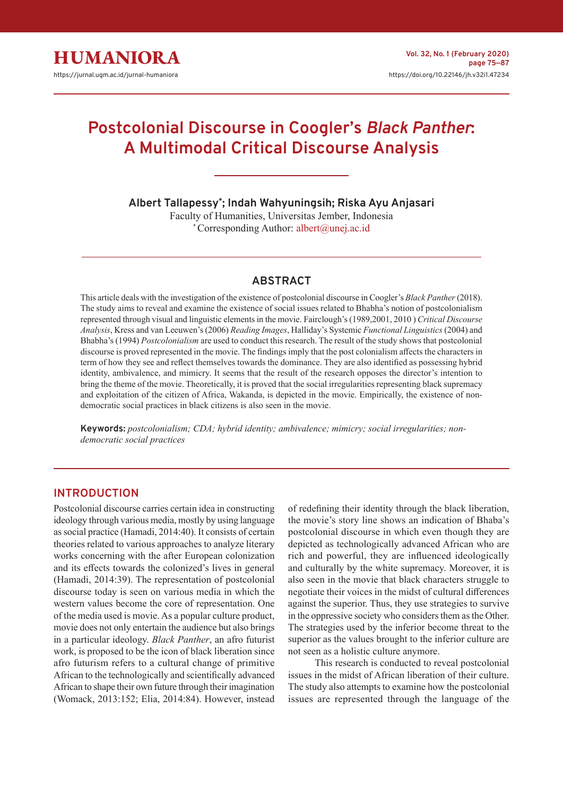# **Postcolonial Discourse in Coogler's** *Black Panther***: A Multimodal Critical Discourse Analysis**

**Albert Tallapessy\* ; Indah Wahyuningsih; Riska Ayu Anjasari**

Faculty of Humanities, Universitas Jember, Indonesia \* Corresponding Author: albert@unej.ac.id

# **ABSTRACT**

This article deals with the investigation of the existence of postcolonial discourse in Coogler's *Black Panther* (2018). The study aims to reveal and examine the existence of social issues related to Bhabha's notion of postcolonialism represented through visual and linguistic elements in the movie. Fairclough's (1989,2001, 2010 ) *Critical Discourse Analysis*, Kress and van Leeuwen's (2006) *Reading Images*, Halliday's Systemic *Functional Linguistics* (2004) and Bhabha's (1994) *Postcolonialism* are used to conduct this research. The result of the study shows that postcolonial discourse is proved represented in the movie. The findings imply that the post colonialism affects the characters in term of how they see and reflect themselves towards the dominance. They are also identified as possessing hybrid identity, ambivalence, and mimicry. It seems that the result of the research opposes the director's intention to bring the theme of the movie. Theoretically, it is proved that the social irregularities representing black supremacy and exploitation of the citizen of Africa, Wakanda, is depicted in the movie. Empirically, the existence of nondemocratic social practices in black citizens is also seen in the movie.

**Keywords:** *postcolonialism; CDA; hybrid identity; ambivalence; mimicry; social irregularities; nondemocratic social practices*

# **INTRODUCTION**

Postcolonial discourse carries certain idea in constructing ideology through various media, mostly by using language as social practice (Hamadi, 2014:40). It consists of certain theories related to various approaches to analyze literary works concerning with the after European colonization and its effects towards the colonized's lives in general (Hamadi, 2014:39). The representation of postcolonial discourse today is seen on various media in which the western values become the core of representation. One of the media used is movie. As a popular culture product, movie does not only entertain the audience but also brings in a particular ideology. *Black Panther*, an afro futurist work, is proposed to be the icon of black liberation since afro futurism refers to a cultural change of primitive African to the technologically and scientifically advanced African to shape their own future through their imagination (Womack, 2013:152; Elia, 2014:84). However, instead

of redefining their identity through the black liberation, the movie's story line shows an indication of Bhaba's postcolonial discourse in which even though they are depicted as technologically advanced African who are rich and powerful, they are influenced ideologically and culturally by the white supremacy. Moreover, it is also seen in the movie that black characters struggle to negotiate their voices in the midst of cultural differences against the superior. Thus, they use strategies to survive in the oppressive society who considers them as the Other. The strategies used by the inferior become threat to the superior as the values brought to the inferior culture are not seen as a holistic culture anymore.

This research is conducted to reveal postcolonial issues in the midst of African liberation of their culture. The study also attempts to examine how the postcolonial issues are represented through the language of the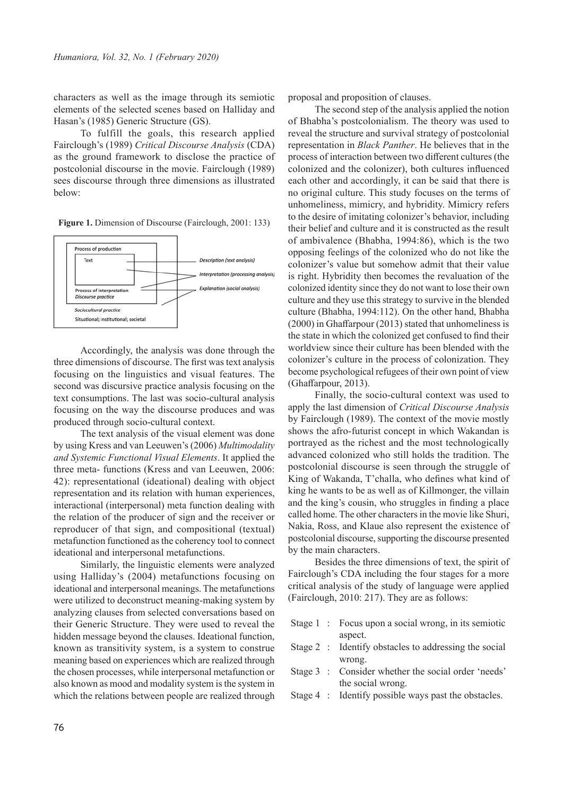characters as well as the image through its semiotic elements of the selected scenes based on Halliday and Hasan's (1985) Generic Structure (GS).

To fulfill the goals, this research applied Fairclough's (1989) *Critical Discourse Analysis* (CDA) as the ground framework to disclose the practice of postcolonial discourse in the movie. Fairclough (1989) sees discourse through three dimensions as illustrated below:

**Figure 1.** Dimension of Discourse (Fairclough, 2001: 133)



Accordingly, the analysis was done through the three dimensions of discourse. The first was text analysis focusing on the linguistics and visual features. The second was discursive practice analysis focusing on the text consumptions. The last was socio-cultural analysis focusing on the way the discourse produces and was produced through socio-cultural context.

The text analysis of the visual element was done by using Kress and van Leeuwen's (2006) *Multimodality and Systemic Functional Visual Elements*. It applied the three meta- functions (Kress and van Leeuwen, 2006: 42): representational (ideational) dealing with object representation and its relation with human experiences, interactional (interpersonal) meta function dealing with the relation of the producer of sign and the receiver or reproducer of that sign, and compositional (textual) metafunction functioned as the coherency tool to connect ideational and interpersonal metafunctions.

Similarly, the linguistic elements were analyzed using Halliday's (2004) metafunctions focusing on ideational and interpersonal meanings. The metafunctions were utilized to deconstruct meaning-making system by analyzing clauses from selected conversations based on their Generic Structure. They were used to reveal the hidden message beyond the clauses. Ideational function, known as transitivity system, is a system to construe meaning based on experiences which are realized through the chosen processes, while interpersonal metafunction or also known as mood and modality system is the system in which the relations between people are realized through proposal and proposition of clauses.

The second step of the analysis applied the notion of Bhabha's postcolonialism. The theory was used to reveal the structure and survival strategy of postcolonial representation in *Black Panther*. He believes that in the process of interaction between two different cultures (the colonized and the colonizer), both cultures influenced each other and accordingly, it can be said that there is no original culture. This study focuses on the terms of unhomeliness, mimicry, and hybridity. Mimicry refers to the desire of imitating colonizer's behavior, including their belief and culture and it is constructed as the result of ambivalence (Bhabha, 1994:86), which is the two opposing feelings of the colonized who do not like the colonizer's value but somehow admit that their value is right. Hybridity then becomes the revaluation of the colonized identity since they do not want to lose their own culture and they use this strategy to survive in the blended culture (Bhabha, 1994:112). On the other hand, Bhabha (2000) in Ghaffarpour (2013) stated that unhomeliness is the state in which the colonized get confused to find their worldview since their culture has been blended with the colonizer's culture in the process of colonization. They become psychological refugees of their own point of view (Ghaffarpour, 2013).

Finally, the socio-cultural context was used to apply the last dimension of *Critical Discourse Analysis*  by Fairclough (1989). The context of the movie mostly shows the afro-futurist concept in which Wakandan is portrayed as the richest and the most technologically advanced colonized who still holds the tradition. The postcolonial discourse is seen through the struggle of King of Wakanda, T'challa, who defines what kind of king he wants to be as well as of Killmonger, the villain and the king's cousin, who struggles in finding a place called home. The other characters in the movie like Shuri, Nakia, Ross, and Klaue also represent the existence of postcolonial discourse, supporting the discourse presented by the main characters.

Besides the three dimensions of text, the spirit of Fairclough's CDA including the four stages for a more critical analysis of the study of language were applied (Fairclough, 2010: 217). They are as follows:

- Stage 1 : Focus upon a social wrong, in its semiotic aspect.
- Stage 2 : Identify obstacles to addressing the social wrong.
- Stage 3 : Consider whether the social order 'needs' the social wrong.
- Stage 4 : Identify possible ways past the obstacles.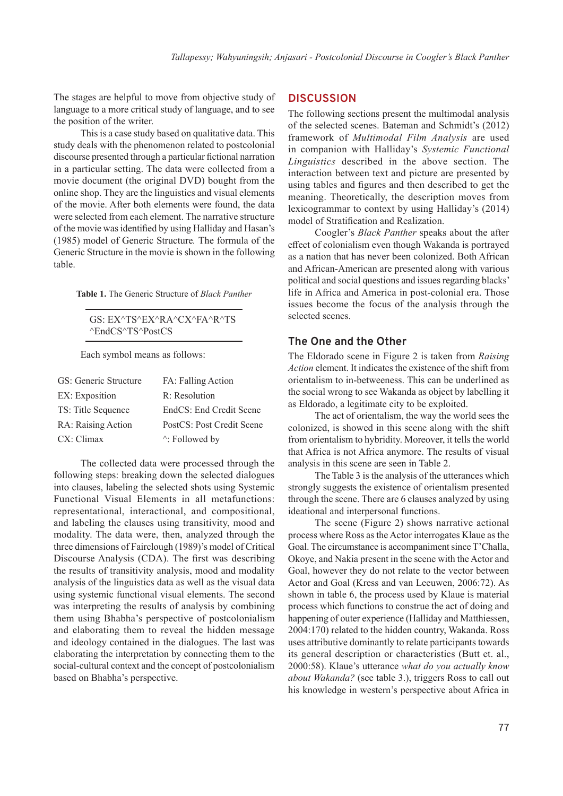The stages are helpful to move from objective study of language to a more critical study of language, and to see the position of the writer.

This is a case study based on qualitative data. This study deals with the phenomenon related to postcolonial discourse presented through a particular fictional narration in a particular setting. The data were collected from a movie document (the original DVD) bought from the online shop. They are the linguistics and visual elements of the movie. After both elements were found, the data were selected from each element. The narrative structure of the movie was identified by using Halliday and Hasan's (1985) model of Generic Structure*.* The formula of the Generic Structure in the movie is shown in the following table.

**Table 1.** The Generic Structure of *Black Panther*

GS: EX^TS^EX^RA^CX^FA^R^TS ^EndCS^TS^PostCS

Each symbol means as follows:

| GS: Generic Structure | FA: Falling Action        |
|-----------------------|---------------------------|
| EX: Exposition        | R: Resolution             |
| TS: Title Sequence    | EndCS: End Credit Scene   |
| RA: Raising Action    | PostCS: Post Credit Scene |
| CX: Climax            | $\wedge$ : Followed by    |

The collected data were processed through the following steps: breaking down the selected dialogues into clauses, labeling the selected shots using Systemic Functional Visual Elements in all metafunctions: representational, interactional, and compositional, and labeling the clauses using transitivity, mood and modality. The data were, then, analyzed through the three dimensions of Fairclough (1989)'s model of Critical Discourse Analysis (CDA). The first was describing the results of transitivity analysis, mood and modality analysis of the linguistics data as well as the visual data using systemic functional visual elements. The second was interpreting the results of analysis by combining them using Bhabha's perspective of postcolonialism and elaborating them to reveal the hidden message and ideology contained in the dialogues. The last was elaborating the interpretation by connecting them to the social-cultural context and the concept of postcolonialism based on Bhabha's perspective.

### **DISCUSSION**

The following sections present the multimodal analysis of the selected scenes. Bateman and Schmidt's (2012) framework of *Multimodal Film Analysis* are used in companion with Halliday's *Systemic Functional Linguistics* described in the above section. The interaction between text and picture are presented by using tables and figures and then described to get the meaning. Theoretically, the description moves from lexicogrammar to context by using Halliday's (2014) model of Stratification and Realization.

Coogler's *Black Panther* speaks about the after effect of colonialism even though Wakanda is portrayed as a nation that has never been colonized. Both African and African-American are presented along with various political and social questions and issues regarding blacks' life in Africa and America in post-colonial era. Those issues become the focus of the analysis through the selected scenes.

#### **The One and the Other**

The Eldorado scene in Figure 2 is taken from *Raising Action* element. It indicates the existence of the shift from orientalism to in-betweeness. This can be underlined as the social wrong to see Wakanda as object by labelling it as Eldorado, a legitimate city to be exploited.

The act of orientalism, the way the world sees the colonized, is showed in this scene along with the shift from orientalism to hybridity. Moreover, it tells the world that Africa is not Africa anymore. The results of visual analysis in this scene are seen in Table 2.

The Table 3 is the analysis of the utterances which strongly suggests the existence of orientalism presented through the scene. There are 6 clauses analyzed by using ideational and interpersonal functions.

The scene (Figure 2) shows narrative actional process where Ross as the Actor interrogates Klaue as the Goal. The circumstance is accompaniment since T'Challa, Okoye, and Nakia present in the scene with the Actor and Goal, however they do not relate to the vector between Actor and Goal (Kress and van Leeuwen, 2006:72). As shown in table 6, the process used by Klaue is material process which functions to construe the act of doing and happening of outer experience (Halliday and Matthiessen, 2004:170) related to the hidden country, Wakanda. Ross uses attributive dominantly to relate participants towards its general description or characteristics (Butt et. al., 2000:58). Klaue's utterance *what do you actually know about Wakanda?* (see table 3.), triggers Ross to call out his knowledge in western's perspective about Africa in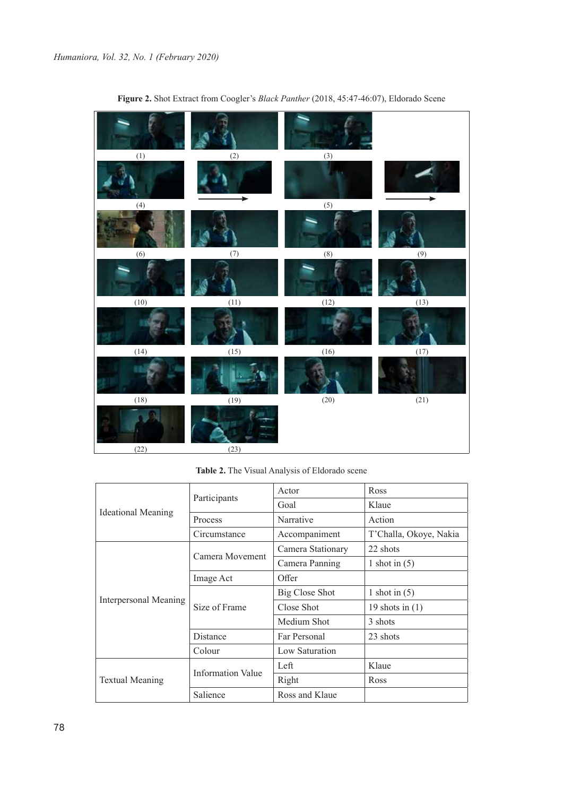

**Figure 2.** Shot Extract from Coogler's *Black Panther* (2018, 45:47-46:07), Eldorado Scene

**Table 2.** The Visual Analysis of Eldorado scene

| <b>Ideational Meaning</b> |                          | Actor                 | Ross                   |
|---------------------------|--------------------------|-----------------------|------------------------|
|                           | Participants             | Goal                  | Klaue                  |
|                           | Process                  | Narrative             | Action                 |
|                           | Circumstance             | Accompaniment         | T'Challa, Okoye, Nakia |
|                           | Camera Movement          | Camera Stationary     | 22 shots               |
|                           |                          | Camera Panning        | 1 shot in $(5)$        |
|                           | Image Act                | Offer                 |                        |
| Interpersonal Meaning     | Size of Frame            | <b>Big Close Shot</b> | 1 shot in $(5)$        |
|                           |                          | Close Shot            | 19 shots in $(1)$      |
|                           |                          | Medium Shot           | 3 shots                |
|                           | Distance                 | Far Personal          | 23 shots               |
|                           | Colour                   | Low Saturation        |                        |
|                           | <b>Information Value</b> | Left                  | Klaue                  |
| <b>Textual Meaning</b>    |                          | Right                 | Ross                   |
|                           | Salience                 | Ross and Klaue        |                        |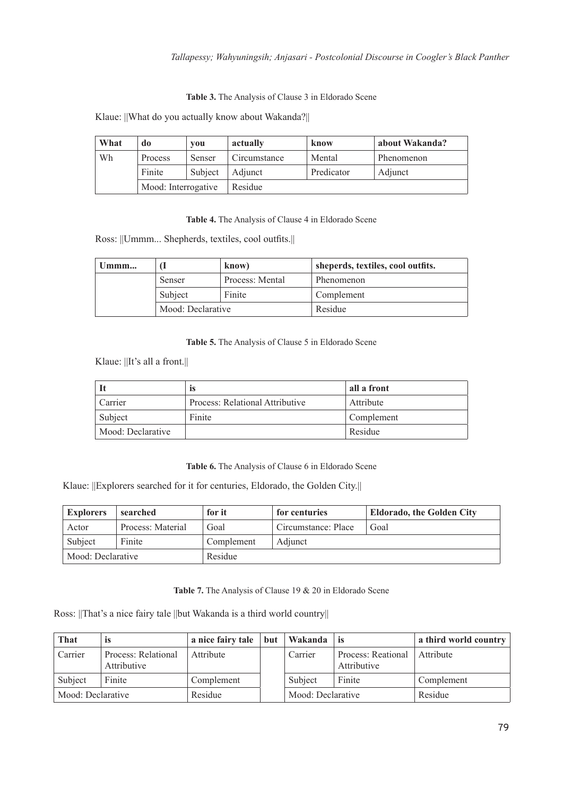### *Tallapessy; Wahyuningsih; Anjasari - Postcolonial Discourse in Coogler's Black Panther*

**Table 3.** The Analysis of Clause 3 in Eldorado Scene

Klaue: ||What do you actually know about Wakanda?||

| What | do                  | vou     | actually     | know       | about Wakanda? |
|------|---------------------|---------|--------------|------------|----------------|
| Wh   | <b>Process</b>      | Senser  | Circumstance | Mental     | Phenomenon     |
|      | Finite              | Subject | Adiunct      | Predicator | Adjunct        |
|      | Mood: Interrogative |         | Residue      |            |                |

**Table 4.** The Analysis of Clause 4 in Eldorado Scene

Ross: ||Ummm... Shepherds, textiles, cool outfits.||

| $U$ mmm |                   | know)           | sheperds, textiles, cool outfits. |
|---------|-------------------|-----------------|-----------------------------------|
|         | Senser            | Process: Mental | Phenomenon                        |
| Subject |                   | Finite          | Complement                        |
|         | Mood: Declarative |                 | Residue                           |

**Table 5.** The Analysis of Clause 5 in Eldorado Scene

Klaue: ||It's all a front.||

|                   | ıs                              | all a front |
|-------------------|---------------------------------|-------------|
| Carrier           | Process: Relational Attributive | Attribute   |
| Subject           | Finite                          | Complement  |
| Mood: Declarative |                                 | Residue     |

**Table 6.** The Analysis of Clause 6 in Eldorado Scene

Klaue: ||Explorers searched for it for centuries, Eldorado, the Golden City.||

| <b>Explorers</b>  | searched          | for it     | for centuries       | <b>Eldorado, the Golden City</b> |
|-------------------|-------------------|------------|---------------------|----------------------------------|
| Actor             | Process: Material | Goal       | Circumstance: Place | Goal                             |
| Subject           | Finite            | Complement | Adjunct             |                                  |
| Mood: Declarative |                   | Residue    |                     |                                  |

**Table 7.** The Analysis of Clause 19 & 20 in Eldorado Scene

Ross: ||That's a nice fairy tale ||but Wakanda is a third world country||

| That              | 1S                                 | a nice fairy tale | but | Wakanda           | -is                               | a third world country |
|-------------------|------------------------------------|-------------------|-----|-------------------|-----------------------------------|-----------------------|
| Carrier           | Process: Relational<br>Attributive | Attribute         |     | Carrier           | Process: Reational<br>Attributive | Attribute             |
| Finite<br>Subject |                                    | Complement        |     | Finite<br>Subject |                                   | Complement            |
| Mood: Declarative |                                    | Residue           |     | Mood: Declarative |                                   | Residue               |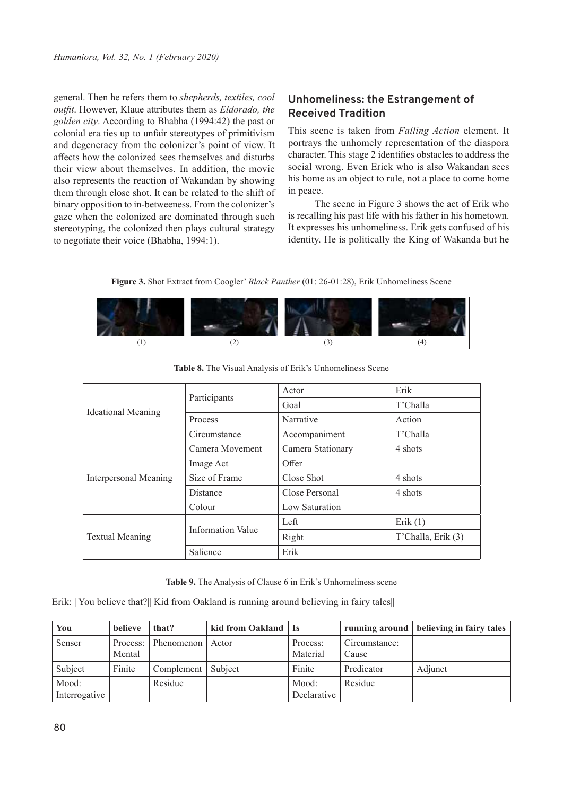general. Then he refers them to *shepherds, textiles, cool outfit*. However, Klaue attributes them as *Eldorado, the golden city*. According to Bhabha (1994:42) the past or colonial era ties up to unfair stereotypes of primitivism and degeneracy from the colonizer's point of view. It affects how the colonized sees themselves and disturbs their view about themselves. In addition, the movie also represents the reaction of Wakandan by showing them through close shot. It can be related to the shift of binary opposition to in-betweeness. From the colonizer's gaze when the colonized are dominated through such stereotyping, the colonized then plays cultural strategy to negotiate their voice (Bhabha, 1994:1).

# **Unhomeliness: the Estrangement of Received Tradition**

This scene is taken from *Falling Action* element. It portrays the unhomely representation of the diaspora character. This stage 2 identifies obstacles to address the social wrong. Even Erick who is also Wakandan sees his home as an object to rule, not a place to come home in peace.

The scene in Figure 3 shows the act of Erik who is recalling his past life with his father in his hometown. It expresses his unhomeliness. Erik gets confused of his identity. He is politically the King of Wakanda but he

**Figure 3.** Shot Extract from Coogler' *Black Panther* (01: 26-01:28), Erik Unhomeliness Scene



|                           | Participants      | Actor             | Erik               |
|---------------------------|-------------------|-------------------|--------------------|
|                           |                   | Goal              | T'Challa           |
| <b>Ideational Meaning</b> | <b>Process</b>    | Narrative         | Action             |
|                           | Circumstance      | Accompaniment     | T'Challa           |
|                           | Camera Movement   | Camera Stationary | 4 shots            |
|                           | Image Act         | Offer             |                    |
| Interpersonal Meaning     | Size of Frame     | Close Shot        | 4 shots            |
|                           | <b>Distance</b>   | Close Personal    | 4 shots            |
|                           | Colour            | Low Saturation    |                    |
|                           |                   | Left              | Erik $(1)$         |
| <b>Textual Meaning</b>    | Information Value | Right             | T'Challa, Erik (3) |
|                           | Salience          | Erik              |                    |

**Table 8.** The Visual Analysis of Erik's Unhomeliness Scene

**Table 9.** The Analysis of Clause 6 in Erik's Unhomeliness scene

Erik: ||You believe that?|| Kid from Oakland is running around believing in fairy tales||

| You           | believe | that?               | kid from Oakland   Is |             |               | running around   believing in fairy tales |
|---------------|---------|---------------------|-----------------------|-------------|---------------|-------------------------------------------|
| Senser        |         | Process: Phenomenon | Actor                 | Process:    | Circumstance: |                                           |
|               | Mental  |                     |                       | Material    | Cause         |                                           |
| Subject       | Finite  | Complement          | Subject               | Finite      | Predicator    | Adjunct                                   |
| Mood:         |         | Residue             |                       | Mood:       | Residue       |                                           |
| Interrogative |         |                     |                       | Declarative |               |                                           |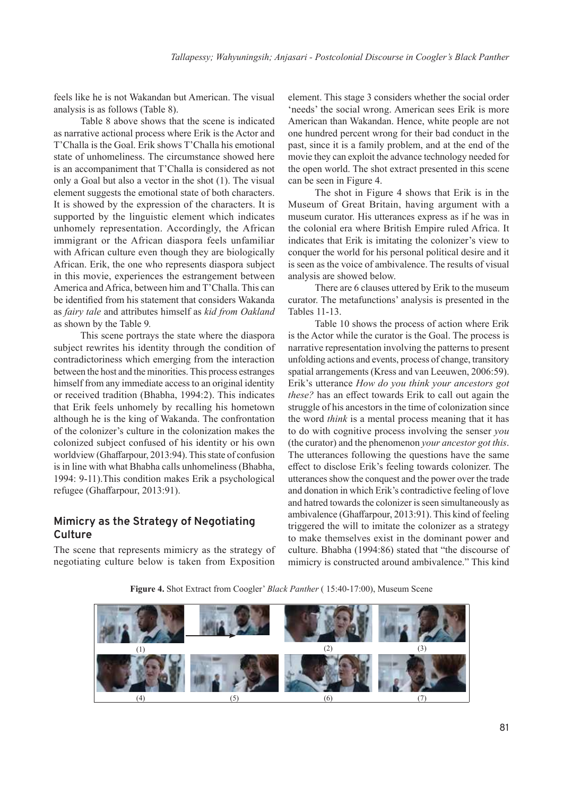feels like he is not Wakandan but American. The visual analysis is as follows (Table 8).

Table 8 above shows that the scene is indicated as narrative actional process where Erik is the Actor and T'Challa is the Goal. Erik shows T'Challa his emotional state of unhomeliness. The circumstance showed here is an accompaniment that T'Challa is considered as not only a Goal but also a vector in the shot (1). The visual element suggests the emotional state of both characters. It is showed by the expression of the characters. It is supported by the linguistic element which indicates unhomely representation. Accordingly, the African immigrant or the African diaspora feels unfamiliar with African culture even though they are biologically African. Erik, the one who represents diaspora subject in this movie, experiences the estrangement between America and Africa, between him and T'Challa. This can be identified from his statement that considers Wakanda as *fairy tale* and attributes himself as *kid from Oakland*  as shown by the Table 9*.*

This scene portrays the state where the diaspora subject rewrites his identity through the condition of contradictoriness which emerging from the interaction between the host and the minorities. This process estranges himself from any immediate access to an original identity or received tradition (Bhabha, 1994:2). This indicates that Erik feels unhomely by recalling his hometown although he is the king of Wakanda. The confrontation of the colonizer's culture in the colonization makes the colonized subject confused of his identity or his own worldview (Ghaffarpour, 2013:94). This state of confusion is in line with what Bhabha calls unhomeliness (Bhabha, 1994: 9-11).This condition makes Erik a psychological refugee (Ghaffarpour, 2013:91).

# **Mimicry as the Strategy of Negotiating Culture**

The scene that represents mimicry as the strategy of negotiating culture below is taken from Exposition

element. This stage 3 considers whether the social order 'needs' the social wrong. American sees Erik is more American than Wakandan. Hence, white people are not one hundred percent wrong for their bad conduct in the past, since it is a family problem, and at the end of the movie they can exploit the advance technology needed for the open world. The shot extract presented in this scene can be seen in Figure 4.

The shot in Figure 4 shows that Erik is in the Museum of Great Britain, having argument with a museum curator. His utterances express as if he was in the colonial era where British Empire ruled Africa. It indicates that Erik is imitating the colonizer's view to conquer the world for his personal political desire and it is seen as the voice of ambivalence. The results of visual analysis are showed below.

There are 6 clauses uttered by Erik to the museum curator. The metafunctions' analysis is presented in the Tables 11-13.

Table 10 shows the process of action where Erik is the Actor while the curator is the Goal. The process is narrative representation involving the patterns to present unfolding actions and events, process of change, transitory spatial arrangements (Kress and van Leeuwen, 2006:59). Erik's utterance *How do you think your ancestors got these?* has an effect towards Erik to call out again the struggle of his ancestors in the time of colonization since the word *think* is a mental process meaning that it has to do with cognitive process involving the senser *you* (the curator) and the phenomenon *your ancestor got this*. The utterances following the questions have the same effect to disclose Erik's feeling towards colonizer. The utterances show the conquest and the power over the trade and donation in which Erik's contradictive feeling of love and hatred towards the colonizer is seen simultaneously as ambivalence (Ghaffarpour, 2013:91). This kind of feeling triggered the will to imitate the colonizer as a strategy to make themselves exist in the dominant power and culture. Bhabha (1994:86) stated that "the discourse of mimicry is constructed around ambivalence." This kind



**Figure 4.** Shot Extract from Coogler' *Black Panther* ( 15:40-17:00), Museum Scene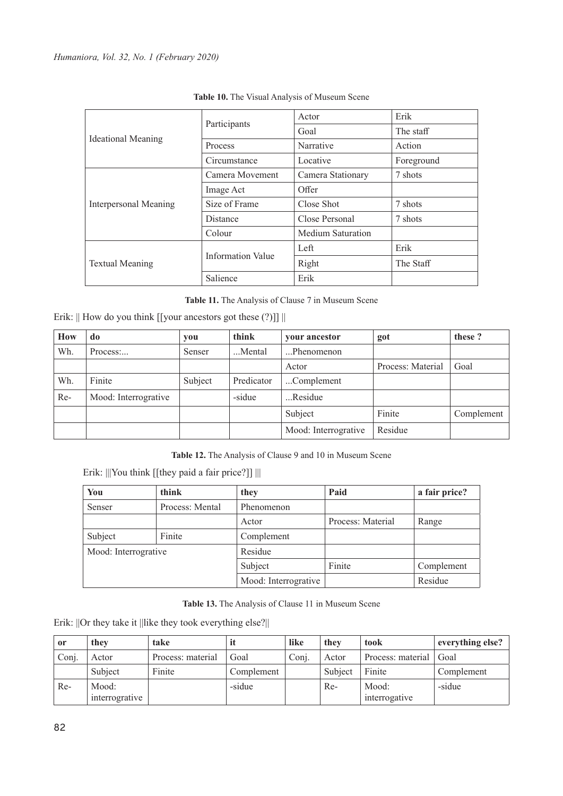|                              |                          | Actor             | Erik       |
|------------------------------|--------------------------|-------------------|------------|
| <b>Ideational Meaning</b>    | Participants             | Goal              | The staff  |
|                              | <b>Process</b>           | Narrative         | Action     |
|                              | Circumstance             | Locative          | Foreground |
|                              | Camera Movement          | Camera Stationary | 7 shots    |
|                              | Image Act                | Offer             |            |
| <b>Interpersonal Meaning</b> | Size of Frame            | Close Shot        | 7 shots    |
|                              | <b>Distance</b>          | Close Personal    | 7 shots    |
|                              | Colour                   | Medium Saturation |            |
|                              | <b>Information Value</b> | Left              | Erik       |
| <b>Textual Meaning</b>       |                          | Right             | The Staff  |
|                              | Salience                 | Erik              |            |

**Table 10.** The Visual Analysis of Museum Scene

**Table 11.** The Analysis of Clause 7 in Museum Scene

|  |  | Erik:    How do you think [[your ancestors got these (?)]] |  |  |  |  |
|--|--|------------------------------------------------------------|--|--|--|--|
|--|--|------------------------------------------------------------|--|--|--|--|

| How   | do                   | you     | think      | your ancestor        | got               | these?     |
|-------|----------------------|---------|------------|----------------------|-------------------|------------|
| Wh.   | Process:             | Senser  | Mental     | Phenomenon           |                   |            |
|       |                      |         |            | Actor                | Process: Material | Goal       |
| Wh.   | Finite               | Subject | Predicator | Complement           |                   |            |
| $Re-$ | Mood: Interrogrative |         | -sidue     | Residue              |                   |            |
|       |                      |         |            | Subject              | Finite            | Complement |
|       |                      |         |            | Mood: Interrogrative | Residue           |            |

**Table 12.** The Analysis of Clause 9 and 10 in Museum Scene

Erik: |||You think [[they paid a fair price?]] |||

| You                  | think           | they                 | Paid              | a fair price? |
|----------------------|-----------------|----------------------|-------------------|---------------|
| Senser               | Process: Mental | Phenomenon           |                   |               |
|                      |                 | Actor                | Process: Material | Range         |
| Subject              | Finite          | Complement           |                   |               |
| Mood: Interrogrative |                 | Residue              |                   |               |
|                      |                 | Subject              | Finite            | Complement    |
|                      |                 | Mood: Interrogrative |                   | Residue       |

**Table 13.** The Analysis of Clause 11 in Museum Scene

Erik: ||Or they take it ||like they took everything else?||

| <sub>or</sub> | they           | take              |            | like  | they    | took              | everything else? |
|---------------|----------------|-------------------|------------|-------|---------|-------------------|------------------|
| Conj.         | Actor          | Process: material | Goal       | Conj. | Actor   | Process: material | Goal             |
|               | Subject        | Finite            | Complement |       | Subject | Finite            | Complement       |
| Re-           | Mood:          |                   | -sidue     |       | $Re-$   | Mood:             | -sidue           |
|               | interrogrative |                   |            |       |         | interrogative     |                  |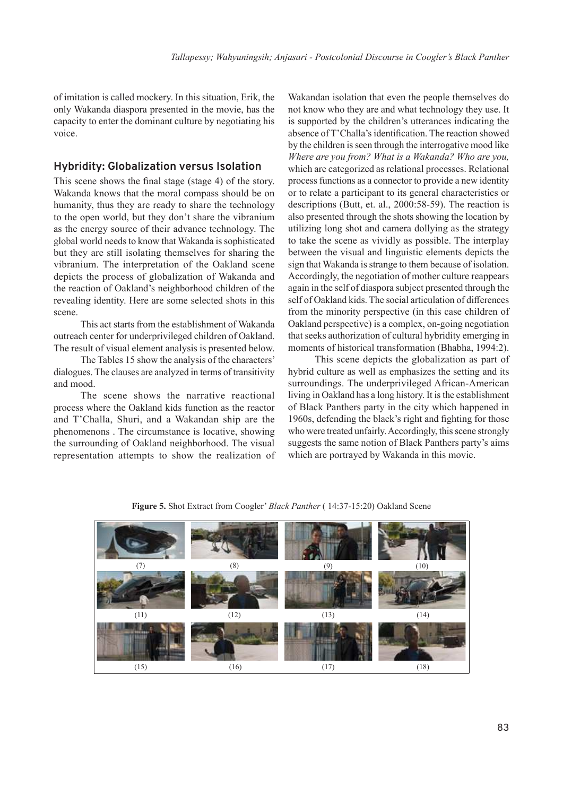of imitation is called mockery. In this situation, Erik, the only Wakanda diaspora presented in the movie, has the capacity to enter the dominant culture by negotiating his voice.

#### **Hybridity: Globalization versus Isolation**

This scene shows the final stage (stage 4) of the story. Wakanda knows that the moral compass should be on humanity, thus they are ready to share the technology to the open world, but they don't share the vibranium as the energy source of their advance technology. The global world needs to know that Wakanda is sophisticated but they are still isolating themselves for sharing the vibranium. The interpretation of the Oakland scene depicts the process of globalization of Wakanda and the reaction of Oakland's neighborhood children of the revealing identity. Here are some selected shots in this scene.

This act starts from the establishment of Wakanda outreach center for underprivileged children of Oakland. The result of visual element analysis is presented below.

The Tables 15 show the analysis of the characters' dialogues. The clauses are analyzed in terms of transitivity and mood.

The scene shows the narrative reactional process where the Oakland kids function as the reactor and T'Challa, Shuri, and a Wakandan ship are the phenomenons . The circumstance is locative, showing the surrounding of Oakland neighborhood. The visual representation attempts to show the realization of

Wakandan isolation that even the people themselves do not know who they are and what technology they use. It is supported by the children's utterances indicating the absence of T'Challa's identification. The reaction showed by the children is seen through the interrogative mood like *Where are you from? What is a Wakanda? Who are you,*  which are categorized as relational processes. Relational process functions as a connector to provide a new identity or to relate a participant to its general characteristics or descriptions (Butt, et. al., 2000:58-59). The reaction is also presented through the shots showing the location by utilizing long shot and camera dollying as the strategy to take the scene as vividly as possible. The interplay between the visual and linguistic elements depicts the sign that Wakanda is strange to them because of isolation. Accordingly, the negotiation of mother culture reappears again in the self of diaspora subject presented through the self of Oakland kids. The social articulation of differences from the minority perspective (in this case children of Oakland perspective) is a complex, on-going negotiation that seeks authorization of cultural hybridity emerging in moments of historical transformation (Bhabha, 1994:2).

This scene depicts the globalization as part of hybrid culture as well as emphasizes the setting and its surroundings. The underprivileged African-American living in Oakland has a long history. It is the establishment of Black Panthers party in the city which happened in 1960s, defending the black's right and fighting for those who were treated unfairly. Accordingly, this scene strongly suggests the same notion of Black Panthers party's aims which are portrayed by Wakanda in this movie.



**Figure 5.** Shot Extract from Coogler' *Black Panther* ( 14:37-15:20) Oakland Scene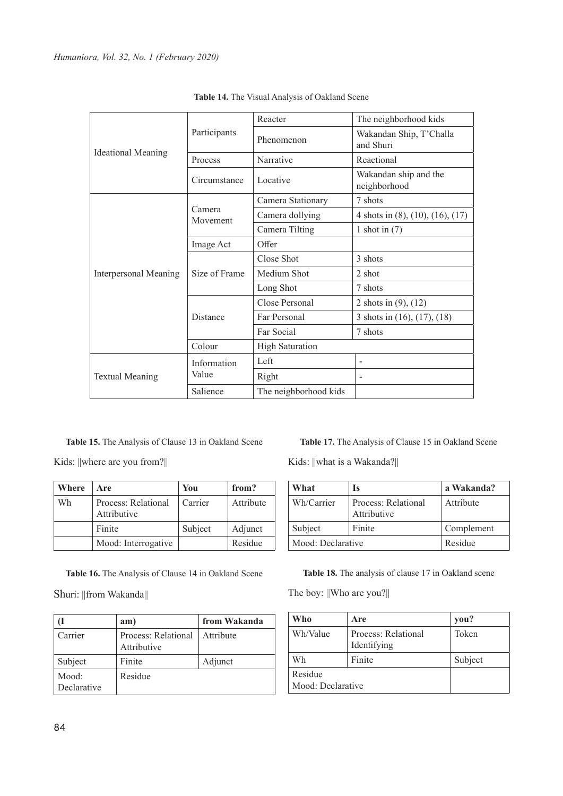|                           | Participants         | Reacter                | The neighborhood kids                       |
|---------------------------|----------------------|------------------------|---------------------------------------------|
|                           |                      | Phenomenon             | Wakandan Ship, T'Challa<br>and Shuri        |
| <b>Ideational Meaning</b> | Process              | Narrative              | Reactional                                  |
|                           | Circumstance         | Locative               | Wakandan ship and the<br>neighborhood       |
|                           |                      | Camera Stationary      | 7 shots                                     |
|                           | Camera<br>Movement   | Camera dollying        | 4 shots in $(8)$ , $(10)$ , $(16)$ , $(17)$ |
|                           |                      | Camera Tilting         | 1 shot in $(7)$                             |
|                           | Image Act            | Offer                  |                                             |
|                           | Size of Frame        | Close Shot             | 3 shots                                     |
| Interpersonal Meaning     |                      | Medium Shot            | 2 shot                                      |
|                           |                      | Long Shot              | 7 shots                                     |
|                           | Distance             | Close Personal         | 2 shots in $(9)$ , $(12)$                   |
|                           |                      | Far Personal           | 3 shots in $(16)$ , $(17)$ , $(18)$         |
|                           |                      | Far Social             | 7 shots                                     |
|                           | Colour               | <b>High Saturation</b> |                                             |
| <b>Textual Meaning</b>    | Information<br>Value | Left                   |                                             |
|                           |                      | Right                  |                                             |
|                           | Salience             | The neighborhood kids  |                                             |

**Table 14.** The Visual Analysis of Oakland Scene

**Table 15.** The Analysis of Clause 13 in Oakland Scene

Kids: ||where are you from?||

| Where | Are                                | You     | from?     |
|-------|------------------------------------|---------|-----------|
| Wh    | Process: Relational<br>Attributive | Carrier | Attribute |
|       | Finite                             | Subject | Adjunct   |
|       | Mood: Interrogative                |         | Residue   |

**Table 16.** The Analysis of Clause 14 in Oakland Scene

Shuri: ||from Wakanda||

|                      | am)                                  | from Wakanda |
|----------------------|--------------------------------------|--------------|
| Carrier              | Process: Relational  <br>Attributive | Attribute    |
| Subject              | Finite                               | Adjunct      |
| Mood:<br>Declarative | Residue                              |              |

**Table 17.** The Analysis of Clause 15 in Oakland Scene

Kids: ||what is a Wakanda?||

| What              | Is                                 | a Wakanda? |
|-------------------|------------------------------------|------------|
| Wh/Carrier        | Process: Relational<br>Attributive | Attribute  |
| Finite<br>Subject |                                    | Complement |
| Mood: Declarative | Residue                            |            |

**Table 18.** The analysis of clause 17 in Oakland scene

The boy: ||Who are you?||

| Who               | Are                 | you?    |
|-------------------|---------------------|---------|
| Wh/Value          | Process: Relational | Token   |
|                   | Identifying         |         |
| Finite<br>Wh      |                     | Subject |
| Residue           |                     |         |
| Mood: Declarative |                     |         |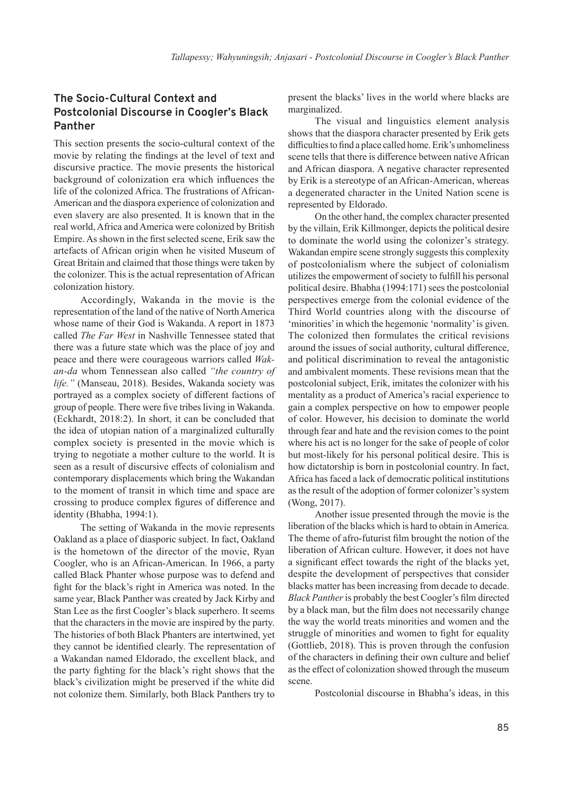## **The Socio-Cultural Context and Postcolonial Discourse in Coogler's Black Panther**

This section presents the socio-cultural context of the movie by relating the findings at the level of text and discursive practice. The movie presents the historical background of colonization era which influences the life of the colonized Africa. The frustrations of African-American and the diaspora experience of colonization and even slavery are also presented. It is known that in the real world, Africa and America were colonized by British Empire. As shown in the first selected scene, Erik saw the artefacts of African origin when he visited Museum of Great Britain and claimed that those things were taken by the colonizer. This is the actual representation of African colonization history.

Accordingly, Wakanda in the movie is the representation of the land of the native of North America whose name of their God is Wakanda. A report in 1873 called *The Far West* in Nashville Tennessee stated that there was a future state which was the place of joy and peace and there were courageous warriors called *Wakan-da* whom Tennessean also called *"the country of life."* (Manseau, 2018). Besides, Wakanda society was portrayed as a complex society of different factions of group of people. There were five tribes living in Wakanda. (Eckhardt, 2018:2). In short, it can be concluded that the idea of utopian nation of a marginalized culturally complex society is presented in the movie which is trying to negotiate a mother culture to the world. It is seen as a result of discursive effects of colonialism and contemporary displacements which bring the Wakandan to the moment of transit in which time and space are crossing to produce complex figures of difference and identity (Bhabha, 1994:1).

The setting of Wakanda in the movie represents Oakland as a place of diasporic subject. In fact, Oakland is the hometown of the director of the movie, Ryan Coogler, who is an African-American. In 1966, a party called Black Phanter whose purpose was to defend and fight for the black's right in America was noted. In the same year, Black Panther was created by Jack Kirby and Stan Lee as the first Coogler's black superhero. It seems that the characters in the movie are inspired by the party. The histories of both Black Phanters are intertwined, yet they cannot be identified clearly. The representation of a Wakandan named Eldorado, the excellent black, and the party fighting for the black's right shows that the black's civilization might be preserved if the white did not colonize them. Similarly, both Black Panthers try to

present the blacks' lives in the world where blacks are marginalized.

The visual and linguistics element analysis shows that the diaspora character presented by Erik gets difficulties to find a place called home. Erik's unhomeliness scene tells that there is difference between native African and African diaspora. A negative character represented by Erik is a stereotype of an African-American, whereas a degenerated character in the United Nation scene is represented by Eldorado.

On the other hand, the complex character presented by the villain, Erik Killmonger, depicts the political desire to dominate the world using the colonizer's strategy. Wakandan empire scene strongly suggests this complexity of postcolonialism where the subject of colonialism utilizes the empowerment of society to fulfill his personal political desire. Bhabha (1994:171) sees the postcolonial perspectives emerge from the colonial evidence of the Third World countries along with the discourse of 'minorities' in which the hegemonic 'normality' is given. The colonized then formulates the critical revisions around the issues of social authority, cultural difference, and political discrimination to reveal the antagonistic and ambivalent moments. These revisions mean that the postcolonial subject, Erik, imitates the colonizer with his mentality as a product of America's racial experience to gain a complex perspective on how to empower people of color. However, his decision to dominate the world through fear and hate and the revision comes to the point where his act is no longer for the sake of people of color but most-likely for his personal political desire. This is how dictatorship is born in postcolonial country. In fact, Africa has faced a lack of democratic political institutions as the result of the adoption of former colonizer's system (Wong, 2017).

Another issue presented through the movie is the liberation of the blacks which is hard to obtain in America. The theme of afro-futurist film brought the notion of the liberation of African culture. However, it does not have a significant effect towards the right of the blacks yet, despite the development of perspectives that consider blacks matter has been increasing from decade to decade. *Black Panther* is probably the best Coogler's film directed by a black man, but the film does not necessarily change the way the world treats minorities and women and the struggle of minorities and women to fight for equality (Gottlieb, 2018). This is proven through the confusion of the characters in defining their own culture and belief as the effect of colonization showed through the museum scene.

Postcolonial discourse in Bhabha's ideas, in this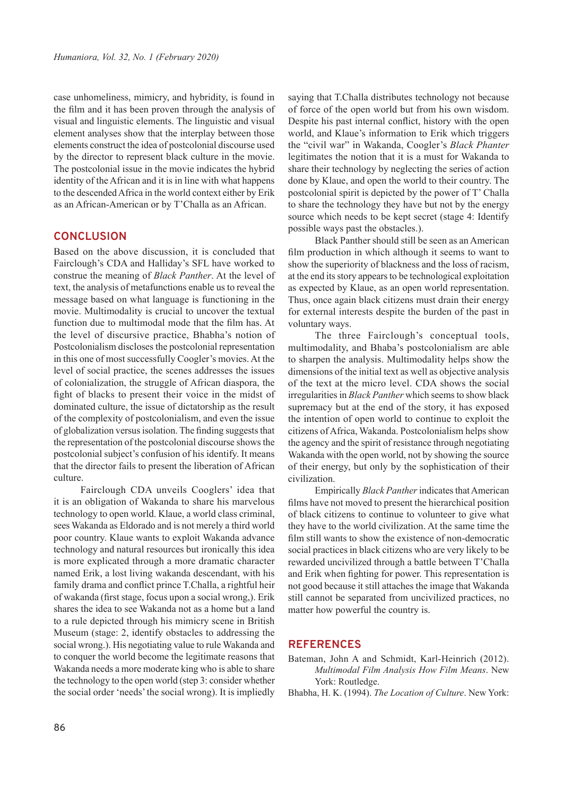case unhomeliness, mimicry, and hybridity, is found in the film and it has been proven through the analysis of visual and linguistic elements. The linguistic and visual element analyses show that the interplay between those elements construct the idea of postcolonial discourse used by the director to represent black culture in the movie. The postcolonial issue in the movie indicates the hybrid identity of the African and it is in line with what happens to the descended Africa in the world context either by Erik as an African-American or by T'Challa as an African.

#### **CONCLUSION**

Based on the above discussion, it is concluded that Fairclough's CDA and Halliday's SFL have worked to construe the meaning of *Black Panther*. At the level of text, the analysis of metafunctions enable us to reveal the message based on what language is functioning in the movie. Multimodality is crucial to uncover the textual function due to multimodal mode that the film has. At the level of discursive practice, Bhabha's notion of Postcolonialism discloses the postcolonial representation in this one of most successfully Coogler's movies. At the level of social practice, the scenes addresses the issues of colonialization, the struggle of African diaspora, the fight of blacks to present their voice in the midst of dominated culture, the issue of dictatorship as the result of the complexity of postcolonialism, and even the issue of globalization versus isolation. The finding suggests that the representation of the postcolonial discourse shows the postcolonial subject's confusion of his identify. It means that the director fails to present the liberation of African culture.

Fairclough CDA unveils Cooglers' idea that it is an obligation of Wakanda to share his marvelous technology to open world. Klaue, a world class criminal, sees Wakanda as Eldorado and is not merely a third world poor country. Klaue wants to exploit Wakanda advance technology and natural resources but ironically this idea is more explicated through a more dramatic character named Erik, a lost living wakanda descendant, with his family drama and conflict prince T.Challa, a rightful heir of wakanda (first stage, focus upon a social wrong,). Erik shares the idea to see Wakanda not as a home but a land to a rule depicted through his mimicry scene in British Museum (stage: 2, identify obstacles to addressing the social wrong.). His negotiating value to rule Wakanda and to conquer the world become the legitimate reasons that Wakanda needs a more moderate king who is able to share the technology to the open world (step 3: consider whether the social order 'needs' the social wrong). It is impliedly

saying that T.Challa distributes technology not because of force of the open world but from his own wisdom. Despite his past internal conflict, history with the open world, and Klaue's information to Erik which triggers the "civil war" in Wakanda, Coogler's *Black Phanter* legitimates the notion that it is a must for Wakanda to share their technology by neglecting the series of action done by Klaue, and open the world to their country. The postcolonial spirit is depicted by the power of T' Challa to share the technology they have but not by the energy source which needs to be kept secret (stage 4: Identify possible ways past the obstacles.).

Black Panther should still be seen as an American film production in which although it seems to want to show the superiority of blackness and the loss of racism, at the end its story appears to be technological exploitation as expected by Klaue, as an open world representation. Thus, once again black citizens must drain their energy for external interests despite the burden of the past in voluntary ways.

The three Fairclough's conceptual tools, multimodality, and Bhaba's postcolonialism are able to sharpen the analysis. Multimodality helps show the dimensions of the initial text as well as objective analysis of the text at the micro level. CDA shows the social irregularities in *Black Panther* which seems to show black supremacy but at the end of the story, it has exposed the intention of open world to continue to exploit the citizens of Africa, Wakanda. Postcolonialism helps show the agency and the spirit of resistance through negotiating Wakanda with the open world, not by showing the source of their energy, but only by the sophistication of their civilization.

Empirically *Black Panther* indicates that American films have not moved to present the hierarchical position of black citizens to continue to volunteer to give what they have to the world civilization. At the same time the film still wants to show the existence of non-democratic social practices in black citizens who are very likely to be rewarded uncivilized through a battle between T'Challa and Erik when fighting for power. This representation is not good because it still attaches the image that Wakanda still cannot be separated from uncivilized practices, no matter how powerful the country is.

#### **REFERENCES**

- Bateman, John A and Schmidt, Karl-Heinrich (2012). *Multimodal Film Analysis How Film Means*. New York: Routledge.
- Bhabha, H. K. (1994). *The Location of Culture*. New York: